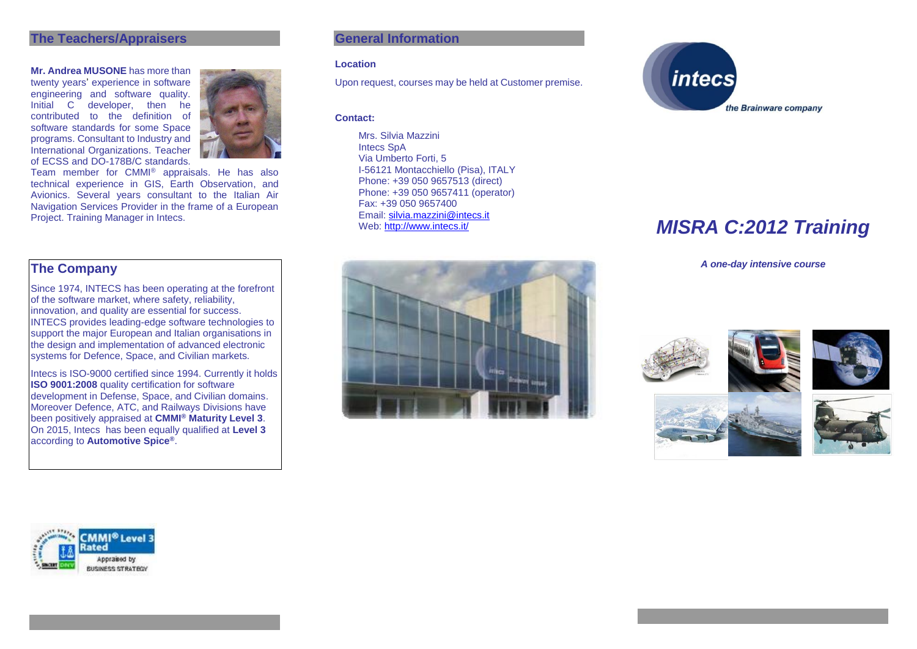#### **The Teachers/Appraisers**

**Mr. Andrea MUSONE** has more than twenty years' experience in software engineering and software quality. Initial C developer, then he contributed to the definition of software standards for some Space programs. Consultant to Industry and International Organizations. Teacher of ECSS and DO-178B/C standards.



Team member for CMMI® appraisals. He has also technical experience in GIS, Earth Observation, and Avionics. Several years consultant to the Italian Air Navigation Services Provider in the frame of a European Project. Training Manager in Intecs.

## **The Company**

Since 1974, INTECS has been operating at the forefront of the software market, where safety, reliability, innovation, and quality are essential for success. INTECS provides leading-edge software technologies to support the major European and Italian organisations in the design and implementation of advanced electronic systems for Defence, Space, and Civilian markets.

Intecs is ISO-9000 certified since 1994. Currently it holds **ISO 9001:2008** quality certification for software development in Defense, Space, and Civilian domains. Moreover Defence, ATC, and Railways Divisions have been positively appraised at **CMMI® Maturity Level 3**. On 2015, Intecs has been equally qualified at **Level 3** according to **Automotive Spice®**.

## **General Information**

#### **Location**

Upon request, courses may be held at Customer premise.

#### **Contact:**

Mrs. Silvia Mazzini Intecs SpA Via Umberto Forti, 5 I-56121 Montacchiello (Pisa), ITALY Phone: +39 050 9657513 (direct) Phone: +39 050 9657411 (operator) Fax: +39 050 9657400 Email: [silvia.mazzini@intecs.it](mailto:andrea.musone@intecs.it)<br>Web: http://www.intecs.it/



# **MISRA C:2012 Training**

*A one-day intensive course*